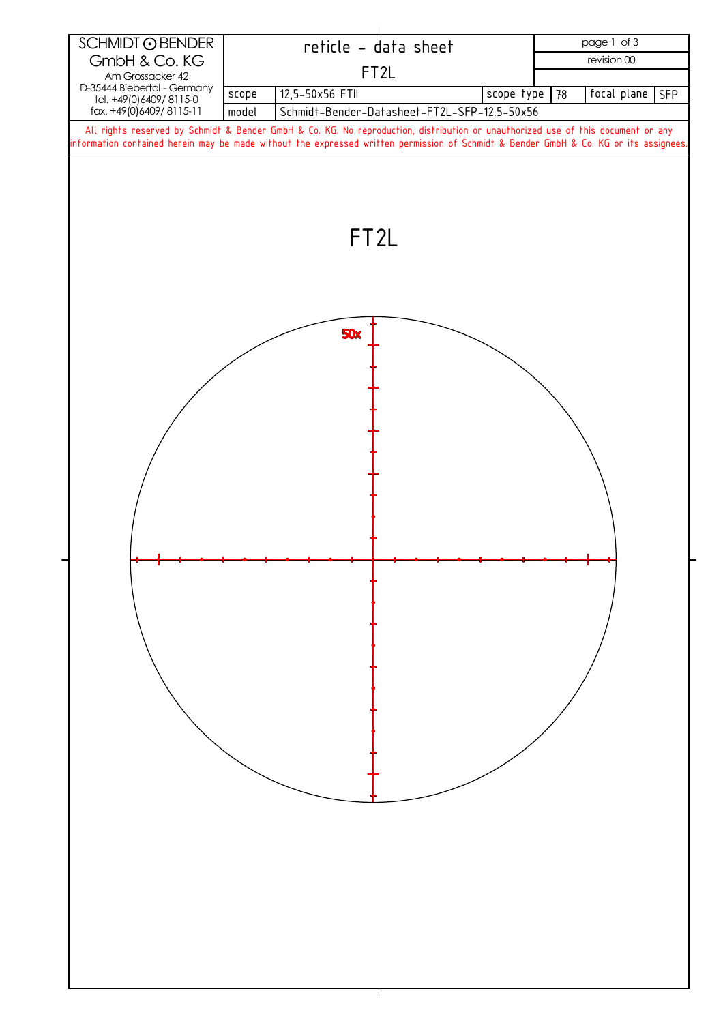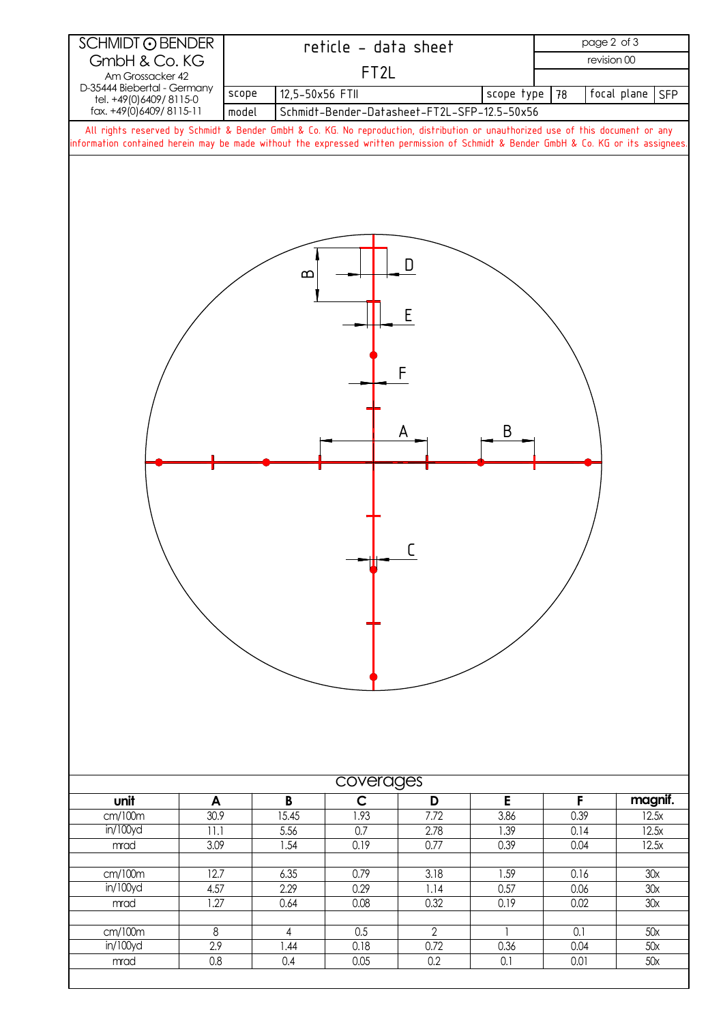